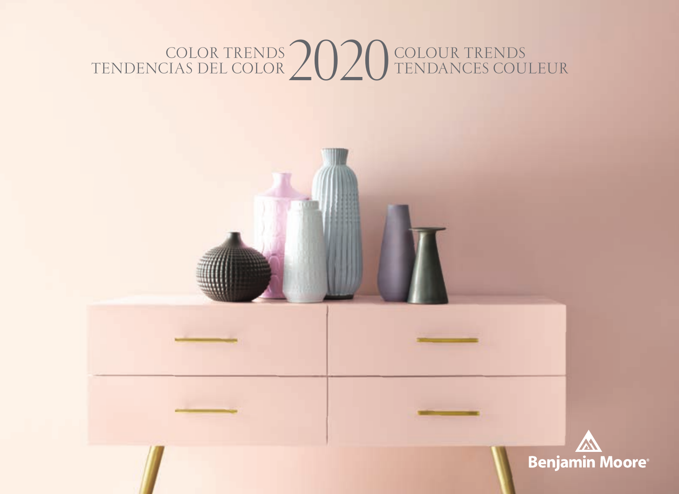## COLOR TRENDS TENDENCIAS DEL COLOR 2020 COLOUR TRENDS

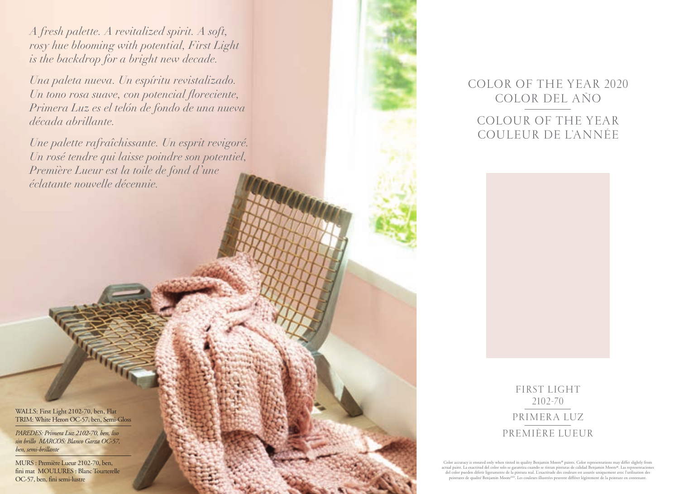*A fresh palette. A revitalized spirit. A soft, rosy hue blooming with potential, First Light is the backdrop for a bright new decade.*

*Una paleta nueva. Un espíritu revistalizado. Un tono rosa suave, con potencial floreciente, Primera Luz es el telón de fondo de una nueva década abrillante.*

*Une palette rafraîchissante. Un esprit revigoré. Un rosé tendre qui laisse poindre son potentiel, Première Lueur est la toile de fond d'une éclatante nouvelle décennie.*

WALLS: First Light 2102-70, ben, Flat TRIM: White Heron OC-57, ben, Semi-Gloss

*PAREDES: Primera Luz 2102-70, ben, liso sin brillo MARCOS: Blanco Garza OC-57, ben, semi-brillante*

MURS : Première Lueur 2102-70, ben, fini mat MOULURES : Blanc Tourterelle OC-57, ben, fini semi-lustre

### COLOR OF THE YEAR 2020 COLOR DEL AÑO COLOUR OF THE YEAR COULEUR DE L'ANNÉE



FIRST LIGHT 2102-70 PRIMERA LUZ PREMIÈRE LUEUR

Color accuracy is ensured only when tinted in quality Benjamin Moore® paints. Color representations may differ slightly from actual paint. La exactitud del color solo se garantiza cuando se tintan pinturas de calidad Benjamin Moore®. Las repr del color pueden diferir ligeramente de la pintura real. L'exactitude des couleurs est assurée uniquement avec l'utilisa peintures de qualité Benjamin Moore<sup>MD</sup>. Les couleurs illustrées peuvent différer légèrement de la peinture en contenant.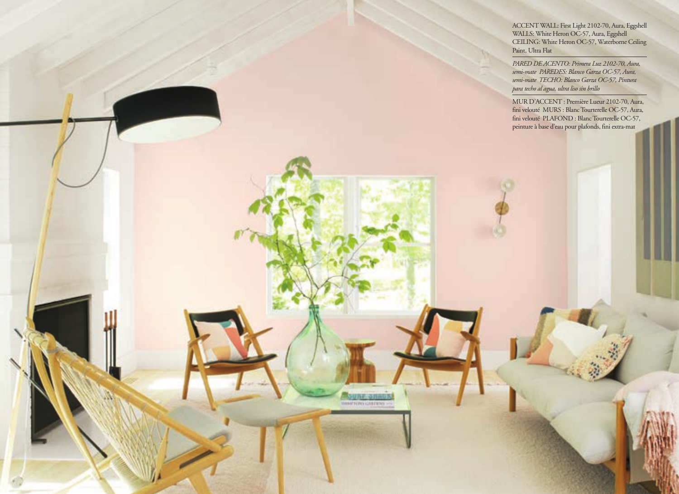ACCENT WALL: First Light 2102-70, Aura, Eggshell WALLS: White Heron OC-57, Aura, Eggshell CEILING: White Heron OC-57, Waterborne Ceiling Paint, Ultra Flat

*PARED DE ACENTO: Primera Luz 2102-70, Aura, semi-mate PAREDES: Blanco Garza OC-57, Aura, semi-mate TECHO: Blanco Garza OC-57, Pintura para techo al agua, ultra liso sin brillo*

MUR D'ACCENT : Première Lueur 2102-70, Aura, fini velouté MURS : Blanc Tourterelle OC-57, Aura, fini velouté PLAFOND : Blanc Tourterelle OC-57, peinture à base d'eau pour plafonds, fini extra-mat

Sung Snaph MARTEUNY COURTES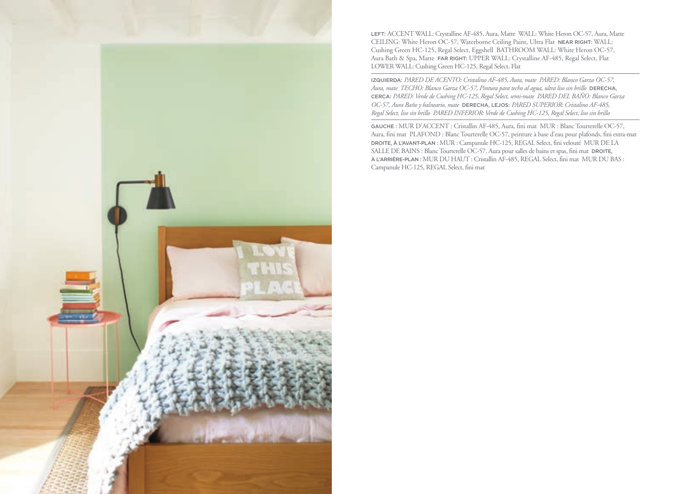

LEFT: ACCENT WALL: Crystalline AF-485, Aura, Matte WALL: White Heron OC-57, Aura, Matte CEILING: White Heron OC-57, Waterborne Ceiling Paint, Ultra Flat NEAR RIGHT: WALL: Cushing Green HC-125, Regal Select, Eggshell BATHROOM WALL: White Heron OC-57, Aura Bath & Spa, Matte FAR RIGHT: UPPER WALL: Crystalline AF-485, Regal Select, Flat LOWER WALL: Cushing Green HC-125, Regal Select, Flat

IZQUIERDA: *PARED DE ACENTO: Cristalino AF-485, Aura, mate PARED: Blanco Garza OC-57, Aura, mate TECHO: Blanco Garza OC-57, Pintura para techo al agua, ultra liso sin brillo* DERECHA, CERCA: *PARED: Verde de Cushing HC-125, Regal Select, semi-mate PARED DEL BAÑO: Blanco Garza OC-57, Aura Baño y balneario, mate* DERECHA, LEJOS: *PARED SUPERIOR: Cristalino AF-485, Regal Select, liso sin brillo PARED INFERIOR: Verde de Cushing HC-125, Regal Select, liso sin brillo* 

GAUCHE : MUR D'ACCENT : Cristallin AF-485, Aura, fini mat MUR : Blanc Tourterelle OC-57, Aura, fini mat PLAFOND : Blanc Tourterelle OC-57, peinture à base d'eau pour plafonds, fini extra-mat DROITE, À L'AVANT-PLAN : MUR : Campanule HC-125, REGAL Select, fini velouté MUR DE LA SALLE DE BAINS : Blanc Tourterelle OC-57, Aura pour salles de bains et spas, fini mat DROITE, À L'ARRIÈRE-PLAN : MUR DU HAUT : Cristallin AF-485, REGAL Select, fini mat MUR DU BAS : Campanule HC-125, REGAL Select, fini mat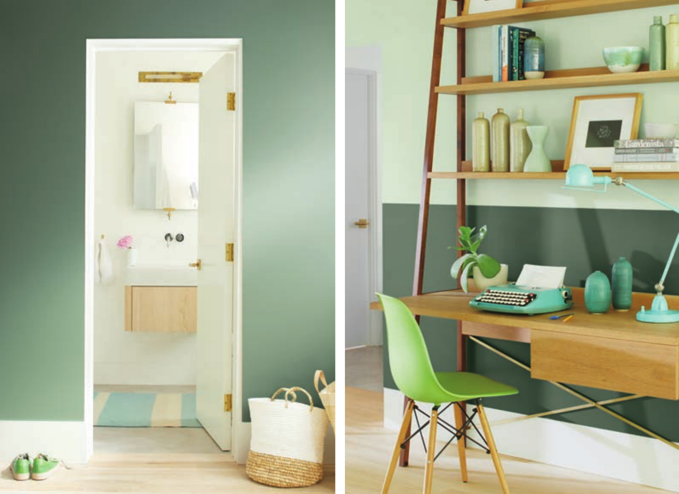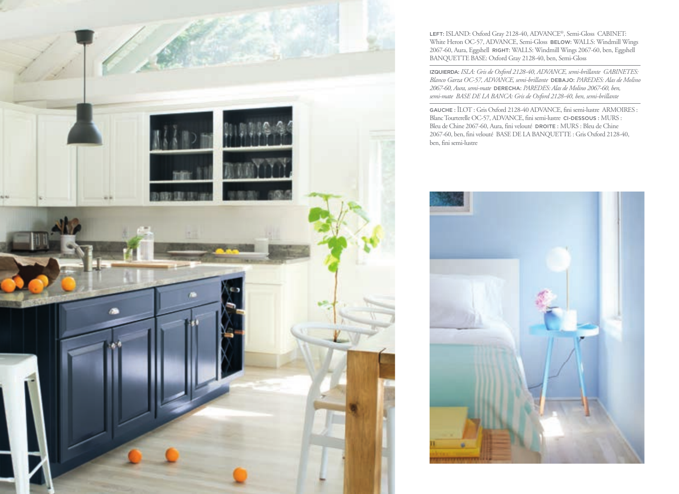![](_page_5_Picture_0.jpeg)

LEFT: ISLAND: Oxford Gray 2128-40, ADVANCE®, Semi-Gloss CABINET: White Heron OC-57, ADVANCE, Semi-Gloss BELOW: WALLS: Windmill Wings 2067-60, Aura, Eggshell RIGHT: WALLS: Windmill Wings 2067-60, ben, Eggshell BANQUETTE BASE: Oxford Gray 2128-40, ben, Semi-Gloss

IZQUIERDA: *ISLA: Gris de Oxford 2128-40, ADVANCE, semi-brillante GABINETES: Blanco Garza OC-57, ADVANCE, semi-brillante* DEBAJO: *PAREDES: Alas de Molino 2067-60, Aura, semi-mate* DERECHA: *PAREDES: Alas de Molino 2067-60, ben, semi-mate BASE DE LA BANCA: Gris de Oxford 2128-40, ben, semi-brillante*

GAUCHE : ÎLOT : Gris Oxford 2128-40 ADVANCE, fini semi-lustre ARMOIRES : Blanc Tourterelle OC-57, ADVANCE, fini semi-lustre CI-DESSOUS : MURS : Bleu de Chine 2067-60, Aura, fini velouté DROITE : MURS : Bleu de Chine 2067-60, ben, fini velouté BASE DE LA BANQUETTE : Gris Oxford 2128-40, ben, fini semi-lustre

![](_page_5_Picture_4.jpeg)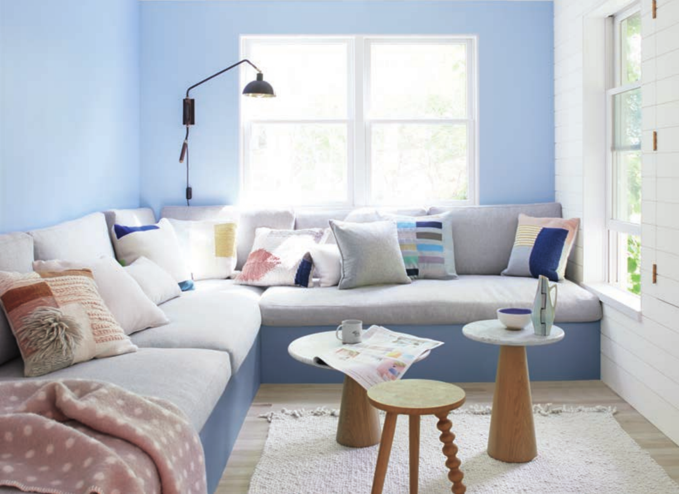![](_page_6_Picture_0.jpeg)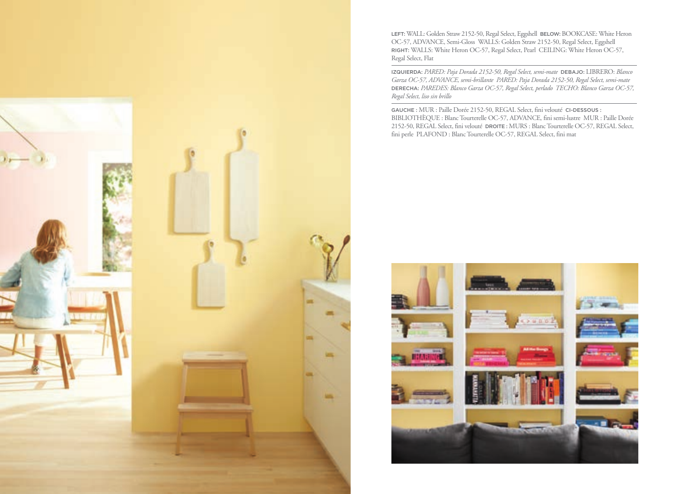LEFT: WALL: Golden Straw 2152-50, Regal Select, Eggshell BELOW: BOOKCASE: White Heron OC-57, ADVANCE, Semi-Gloss WALLS: Golden Straw 2152-50, Regal Select, Eggshell RIGHT: WALLS: White Heron OC-57, Regal Select, Pearl CEILING: White Heron OC-57, Regal Select, Flat

IZQUIERDA: *PARED: Paja Dorada 2152-50, Regal Select, semi-mate* DEBAJO: LIBRERO: *Blanco Garza OC-57, ADVANCE, semi-brillante PARED: Paja Dorada 2152-50, Regal Select, semi-mate*  DERECHA: *PAREDES: Blanco Garza OC-57, Regal Select, perlado TECHO: Blanco Garza OC-57, Regal Select, liso sin brillo*

GAUCHE : MUR : Paille Dorée 2152-50, REGAL Select, fini velouté CI-DESSOUS : BIBLIOTHÈQUE : Blanc Tourterelle OC-57, ADVANCE*,* fini semi-lustre MUR : Paille Dorée 2152-50, REGAL Select, fini velouté DROITE : MURS : Blanc Tourterelle OC-57, REGAL Select, fini perle PLAFOND : Blanc Tourterelle OC-57, REGAL Select, fini mat

 $-1$ 

![](_page_7_Picture_4.jpeg)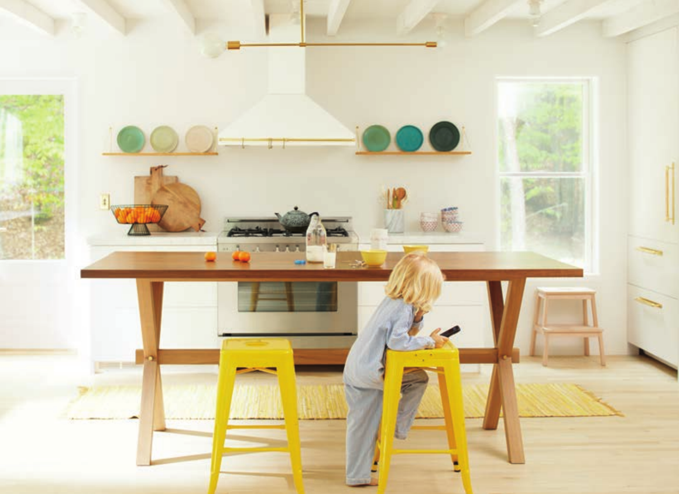![](_page_8_Picture_0.jpeg)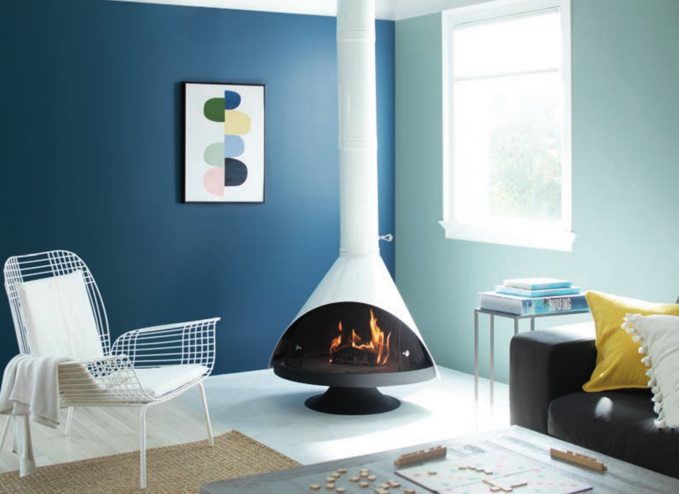![](_page_9_Picture_0.jpeg)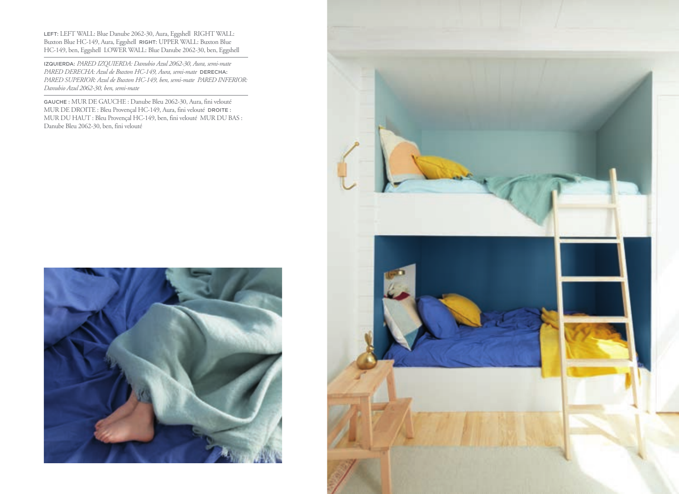LEFT: LEFT WALL: Blue Danube 2062-30, Aura, Eggshell RIGHT WALL: Buxton Blue HC-149, Aura, Eggshell RIGHT: UPPER WALL: Buxton Blue HC-149, ben, Eggshell LOWER WALL: Blue Danube 2062-30, ben, Eggshell

IZQUIERDA: *PARED IZQUIERDA: Danubio Azul 2062-30, Aura, semi-mate PARED DERECHA: Azul de Buxton HC-149, Aura, semi-mate* DERECHA: *PARED SUPERIOR: Azul de Buxton HC-149, ben, semi-mate PARED INFERIOR: Danubio Azul 2062-30, ben, semi-mate*

GAUCHE : MUR DE GAUCHE : Danube Bleu 2062-30, Aura, fini velouté MUR DE DROITE : Bleu Provençal HC-149, Aura, fini velouté DROITE : MUR DU HAUT : Bleu Provençal HC-149, ben, fini velouté MUR DU BAS : Danube Bleu 2062-30, ben, fini velouté

![](_page_10_Picture_3.jpeg)

![](_page_10_Picture_4.jpeg)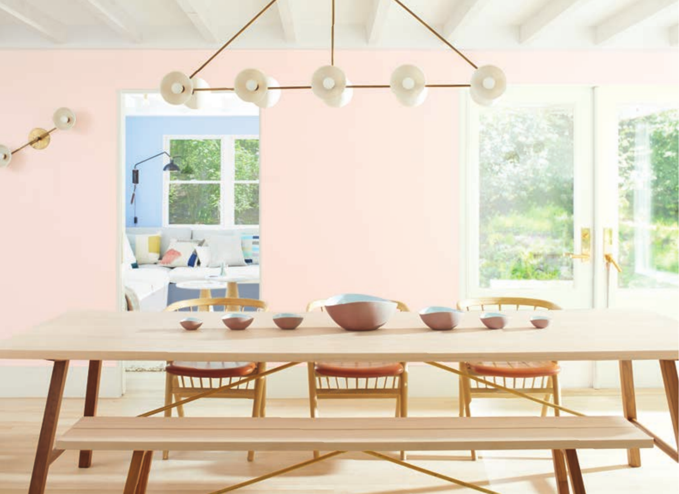![](_page_11_Picture_0.jpeg)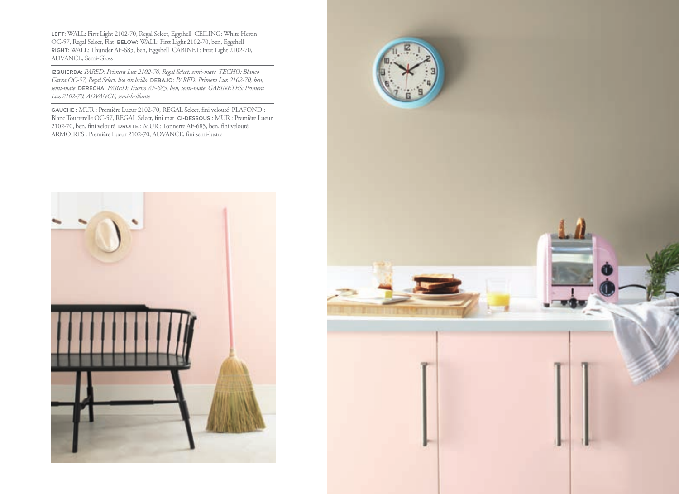LEFT: WALL: First Light 2102-70, Regal Select, Eggshell CEILING: White Heron OC-57, Regal Select, Flat BELOW: WALL: First Light 2102-70, ben, Eggshell RIGHT: WALL: Thunder AF-685, ben, Eggshell CABINET: First Light 2102-70, ADVANCE, Semi-Gloss

IZQUIERDA: *PARED: Primera Luz 2102-70, Regal Select, semi-mate TECHO: Blanco Garza OC-57, Regal Select, liso sin brillo* DEBAJO: *PARED: Primera Luz 2102-70, ben, semi-mate* DERECHA: *PARED: Trueno AF-685, ben, semi-mate GABINETES: Primera Luz 2102-70, ADVANCE, semi-brillante*

GAUCHE : MUR : Première Lueur 2102-70, REGAL Select, fini velouté PLAFOND : Blanc Tourterelle OC-57, REGAL Select, fini mat CI-DESSOUS : MUR : Première Lueur 2102-70, ben, fini velouté DROITE : MUR : Tonnerre AF-685, ben, fini velouté ARMOIRES : Première Lueur 2102-70, ADVANCE, fini semi-lustre

![](_page_12_Picture_3.jpeg)

![](_page_12_Picture_4.jpeg)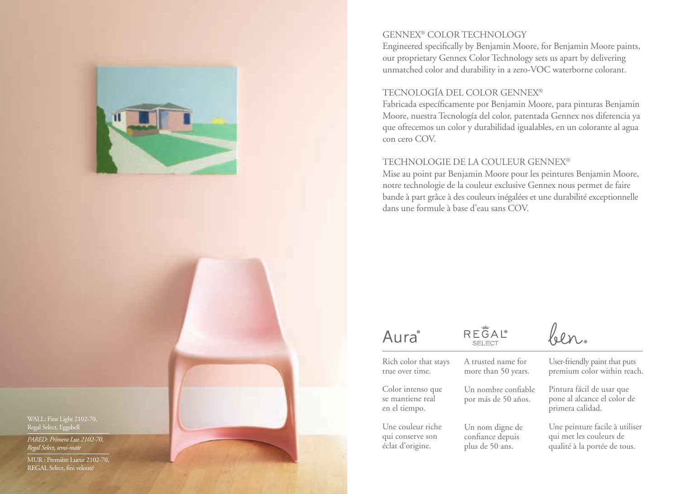![](_page_13_Picture_0.jpeg)

WALL: First Light 2102-70, Regal Select, Eggshell

*PARED: Primera Luz 2102-70, Regal Select, semi-mate*

MUR : Première Lueur 2102-70, REGAL Select, fini velouté

#### GENNEX® COLOR TECHNOLOGY

Engineered specifically by Benjamin Moore, for Benjamin Moore paints, our proprietary Gennex Color Technology sets us apart by delivering unmatched color and durability in a zero-VOC waterborne colorant.

#### TECNOLOGÍA DEL COLOR GENNEX®

Fabricada específicamente por Benjamin Moore, para pinturas Benjamin Moore, nuestra Tecnología del color, patentada Gennex nos diferencia ya que ofrecemos un color y durabilidad igualables, en un colorante al agua con cero COV.

#### TECHNOLOGIE DE LA COULEUR GENNEX®

Mise au point par Benjamin Moore pour les peintures Benjamin Moore, notre technologie de la couleur exclusive Gennex nous permet de faire bande à part grâce à des couleurs inégalées et une durabilité exceptionnelle dans une formule à base d'eau sans COV.

# Aura®

REGAL®

Rich color that stays true over time.

Color intenso que se mantiene real en el tiempo.

Une couleur riche qui conserve son éclat d'origine.

A trusted name for more than 50 years.

Un nombre confiable por más de 50 años.

Un nom digne de confiance depuis plus de 50 ans.

User-friendly paint that puts premium color within reach.

Jen

Pintura fácil de usar que pone al alcance el color de primera calidad.

Une peinture facile à utiliser qui met les couleurs de qualité à la portée de tous.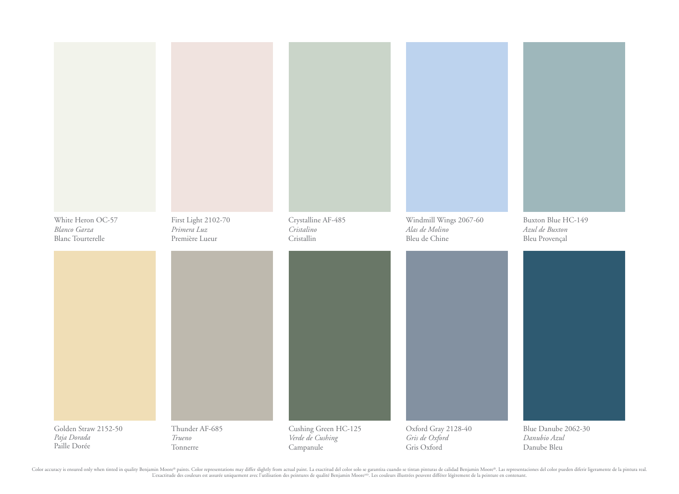![](_page_14_Figure_0.jpeg)

Color accuracy is ensured only when tinted in quality Benjamin Moore® paints. Color representations may differ slightly from actual paint. La exactitud del color solo se garantiza cuando se tintan pinturas de calidad Benja